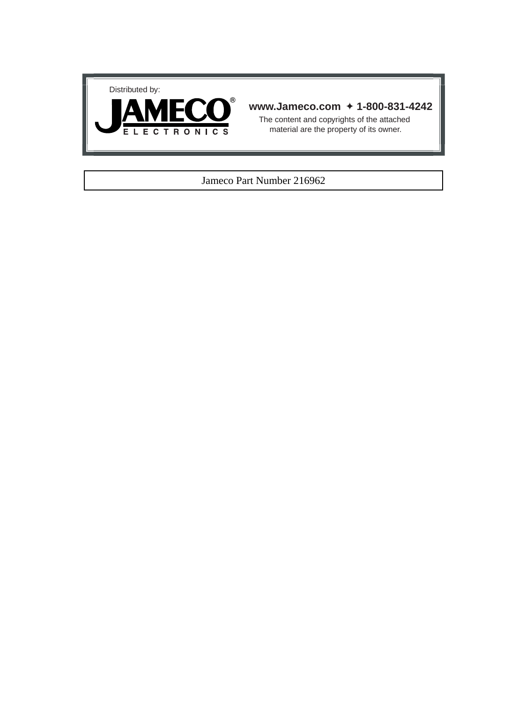



## **www.Jameco.com** ✦ **1-800-831-4242**

The content and copyrights of the attached material are the property of its owner.

### Jameco Part Number 216962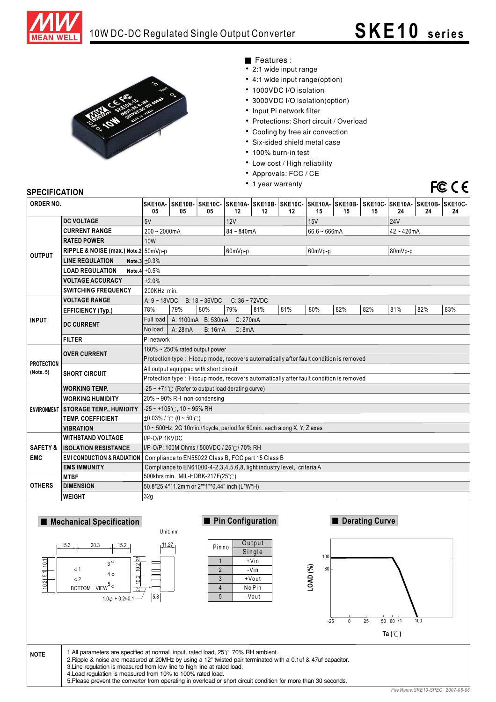



Features :

- 2:1 wide input range
- 4:1 wide input range(option)
- 1000VDC I/O isolation
- 3000VDC I/O isolation(option)
- Input Pi network filter
- Protections: Short circuit / Overload
- Cooling by free air convection
- Six-sided shield metal case
- 100% burn-in test
- Low cost / High reliability
- Approvals: FCC / CE
- 1 year warranty

# FCCE

### **SPECIFICATION**

| ORDER NO.           |                                       | 05                                                                                     | 05                                                    | SKE10A- SKE10B- SKE10C- SKE10A- SKE10B- SKE10C- SKE10A- SKE10B- SKE10C- SKE10A- SKE10B- SKE10C-<br>05 | 12           | $12 \,$ | 12              | 15  | 15            | 15      | 24  | 24  | 24  |
|---------------------|---------------------------------------|----------------------------------------------------------------------------------------|-------------------------------------------------------|-------------------------------------------------------------------------------------------------------|--------------|---------|-----------------|-----|---------------|---------|-----|-----|-----|
|                     | <b>DC VOLTAGE</b>                     | 5V<br>12V<br>15V<br><b>24V</b>                                                         |                                                       |                                                                                                       |              |         |                 |     |               |         |     |     |     |
| <b>OUTPUT</b>       | <b>CURRENT RANGE</b>                  | $200 - 2000mA$                                                                         |                                                       |                                                                                                       | $84 - 840mA$ |         | $66.6 - 666$ mA |     | $42 - 420$ mA |         |     |     |     |
|                     | <b>RATED POWER</b>                    | 10W                                                                                    |                                                       |                                                                                                       |              |         |                 |     |               |         |     |     |     |
|                     | RIPPLE & NOISE (max.) Note.2 50mVp-p  |                                                                                        |                                                       |                                                                                                       | 60mVp-p      |         | 60mVp-p         |     |               | 80mVp-p |     |     |     |
|                     | <b>LINE REGULATION</b>                | Note.3 $\pm 0.3\%$                                                                     |                                                       |                                                                                                       |              |         |                 |     |               |         |     |     |     |
|                     | <b>LOAD REGULATION</b>                | Note.4 $\pm 0.5\%$                                                                     |                                                       |                                                                                                       |              |         |                 |     |               |         |     |     |     |
|                     | <b>VOLTAGE ACCURACY</b>               | ±2.0%                                                                                  |                                                       |                                                                                                       |              |         |                 |     |               |         |     |     |     |
|                     | <b>SWITCHING FREQUENCY</b>            | 200KHz min.                                                                            |                                                       |                                                                                                       |              |         |                 |     |               |         |     |     |     |
|                     | <b>VOLTAGE RANGE</b>                  |                                                                                        | A: $9 - 18VDC$<br>$B: 18 - 36 VDC$<br>$C: 36 - 72VDC$ |                                                                                                       |              |         |                 |     |               |         |     |     |     |
|                     | <b>EFFICIENCY (Typ.)</b>              | 78%                                                                                    | 79%                                                   | 80%                                                                                                   | 79%          | 81%     | 81%             | 80% | 82%           | 82%     | 81% | 82% | 83% |
| <b>INPUT</b>        | <b>DC CURRENT</b>                     | Full load                                                                              | A: 1100mA B: 530mA C: 270mA                           |                                                                                                       |              |         |                 |     |               |         |     |     |     |
|                     |                                       | A: 28mA<br><b>B: 16mA</b><br>C: 8mA<br>No load                                         |                                                       |                                                                                                       |              |         |                 |     |               |         |     |     |     |
|                     | <b>FILTER</b>                         |                                                                                        | Pi network                                            |                                                                                                       |              |         |                 |     |               |         |     |     |     |
|                     | <b>OVER CURRENT</b>                   | 160% ~ 250% rated output power                                                         |                                                       |                                                                                                       |              |         |                 |     |               |         |     |     |     |
| <b>PROTECTION</b>   |                                       | Protection type : Hiccup mode, recovers automatically after fault condition is removed |                                                       |                                                                                                       |              |         |                 |     |               |         |     |     |     |
| (Note. 5)           | <b>SHORT CIRCUIT</b>                  | All output equipped with short circuit                                                 |                                                       |                                                                                                       |              |         |                 |     |               |         |     |     |     |
|                     |                                       | Protection type: Hiccup mode, recovers automatically after fault condition is removed  |                                                       |                                                                                                       |              |         |                 |     |               |         |     |     |     |
|                     | <b>WORKING TEMP.</b>                  | $-25 \sim +71^{\circ}$ (Refer to output load derating curve)                           |                                                       |                                                                                                       |              |         |                 |     |               |         |     |     |     |
| <b>ENVIRONMENT</b>  | <b>WORKING HUMIDITY</b>               | 20% ~ 90% RH non-condensing                                                            |                                                       |                                                                                                       |              |         |                 |     |               |         |     |     |     |
|                     | <b>STORAGE TEMP., HUMIDITY</b>        | -25 ~ +105℃, 10 ~ 95% RH                                                               |                                                       |                                                                                                       |              |         |                 |     |               |         |     |     |     |
|                     | <b>TEMP. COEFFICIENT</b>              | $\pm 0.03\%$ / °C (0 ~ 50°C)                                                           |                                                       |                                                                                                       |              |         |                 |     |               |         |     |     |     |
|                     | <b>VIBRATION</b>                      | 10 ~ 500Hz, 2G 10min./1cycle, period for 60min. each along X, Y, Z axes                |                                                       |                                                                                                       |              |         |                 |     |               |         |     |     |     |
|                     | <b>WITHSTAND VOLTAGE</b>              | I/P-O/P:1KVDC                                                                          |                                                       |                                                                                                       |              |         |                 |     |               |         |     |     |     |
| <b>SAFETY &amp;</b> | <b>ISOLATION RESISTANCE</b>           | I/P-O/P: 100M Ohms / 500VDC / 25℃/ 70% RH                                              |                                                       |                                                                                                       |              |         |                 |     |               |         |     |     |     |
| <b>EMC</b>          | <b>EMI CONDUCTION &amp; RADIATION</b> | Compliance to EN55022 Class B, FCC part 15 Class B                                     |                                                       |                                                                                                       |              |         |                 |     |               |         |     |     |     |
|                     | <b>EMS IMMUNITY</b>                   | Compliance to EN61000-4-2,3,4,5,6,8, light industry level, criteria A                  |                                                       |                                                                                                       |              |         |                 |     |               |         |     |     |     |
|                     | <b>MTBF</b>                           | 500khrs min. MIL-HDBK-217F(25°C)                                                       |                                                       |                                                                                                       |              |         |                 |     |               |         |     |     |     |
| <b>OTHERS</b>       | <b>DIMENSION</b>                      | 50.8*25.4*11.2mm or 2"*1"*0.44" inch (L*W*H)                                           |                                                       |                                                                                                       |              |         |                 |     |               |         |     |     |     |
|                     | <b>WEIGHT</b>                         | 32g                                                                                    |                                                       |                                                                                                       |              |         |                 |     |               |         |     |     |     |

### **Mechanical Specification**



| Pin no.        | Output         |  |  |  |  |
|----------------|----------------|--|--|--|--|
|                | Single         |  |  |  |  |
|                | +Vin           |  |  |  |  |
| $\mathfrak{p}$ | - Vin<br>+Vout |  |  |  |  |
| 3              |                |  |  |  |  |
| 4              | No Pin         |  |  |  |  |
| 5              | -Vout          |  |  |  |  |
|                |                |  |  |  |  |

**Pin Configuration Pin Configuration Pin Configuration** 



| <b>NOTE</b> | 1. All parameters are specified at normal input, rated load, $25^{\circ}$ 70% RH ambient.<br>2. Ripple & noise are measured at 20MHz by using a 12" twisted pair terminated with a 0.1uf & 47uf capacitor.<br>3. Line regulation is measured from low line to high line at rated load.<br>4. Load regulation is measured from 10% to 100% rated load.<br>5. Please prevent the converter from operating in overload or short circuit condition for more than 30 seconds. |                                           |
|-------------|--------------------------------------------------------------------------------------------------------------------------------------------------------------------------------------------------------------------------------------------------------------------------------------------------------------------------------------------------------------------------------------------------------------------------------------------------------------------------|-------------------------------------------|
|             |                                                                                                                                                                                                                                                                                                                                                                                                                                                                          | $Eilh Namo \cdot QKEMO$ , $QDEO$ , $2007$ |